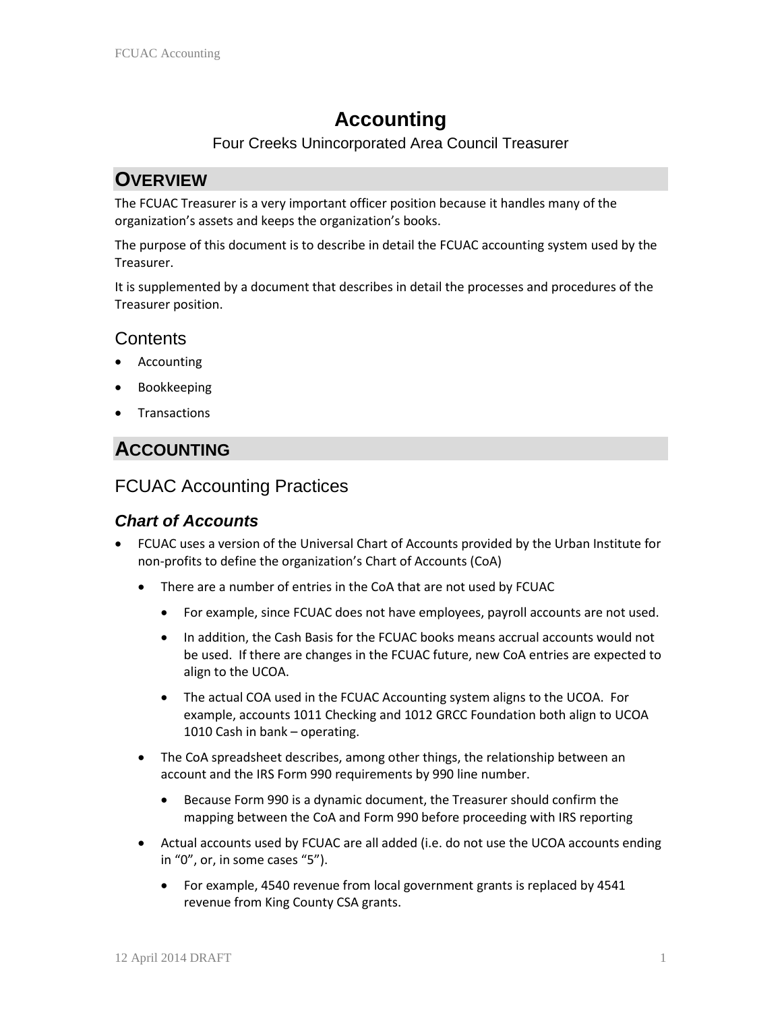# **Accounting**

#### Four Creeks Unincorporated Area Council Treasurer

# **OVERVIEW**

The FCUAC Treasurer is a very important officer position because it handles many of the organization's assets and keeps the organization's books.

The purpose of this document is to describe in detail the FCUAC accounting system used by the Treasurer.

It is supplemented by a document that describes in detail the processes and procedures of the Treasurer position.

## **Contents**

- **Accounting**
- Bookkeeping
- **Transactions**

# **ACCOUNTING**

## FCUAC Accounting Practices

#### *Chart of Accounts*

- FCUAC uses a version of the Universal Chart of Accounts provided by the Urban Institute for non-profits to define the organization's Chart of Accounts (CoA)
	- There are a number of entries in the CoA that are not used by FCUAC
		- For example, since FCUAC does not have employees, payroll accounts are not used.
		- In addition, the Cash Basis for the FCUAC books means accrual accounts would not be used. If there are changes in the FCUAC future, new CoA entries are expected to align to the UCOA.
		- The actual COA used in the FCUAC Accounting system aligns to the UCOA. For example, accounts 1011 Checking and 1012 GRCC Foundation both align to UCOA 1010 Cash in bank – operating.
	- The CoA spreadsheet describes, among other things, the relationship between an account and the IRS Form 990 requirements by 990 line number.
		- Because Form 990 is a dynamic document, the Treasurer should confirm the mapping between the CoA and Form 990 before proceeding with IRS reporting
	- Actual accounts used by FCUAC are all added (i.e. do not use the UCOA accounts ending in "0", or, in some cases "5").
		- For example, 4540 revenue from local government grants is replaced by 4541 revenue from King County CSA grants.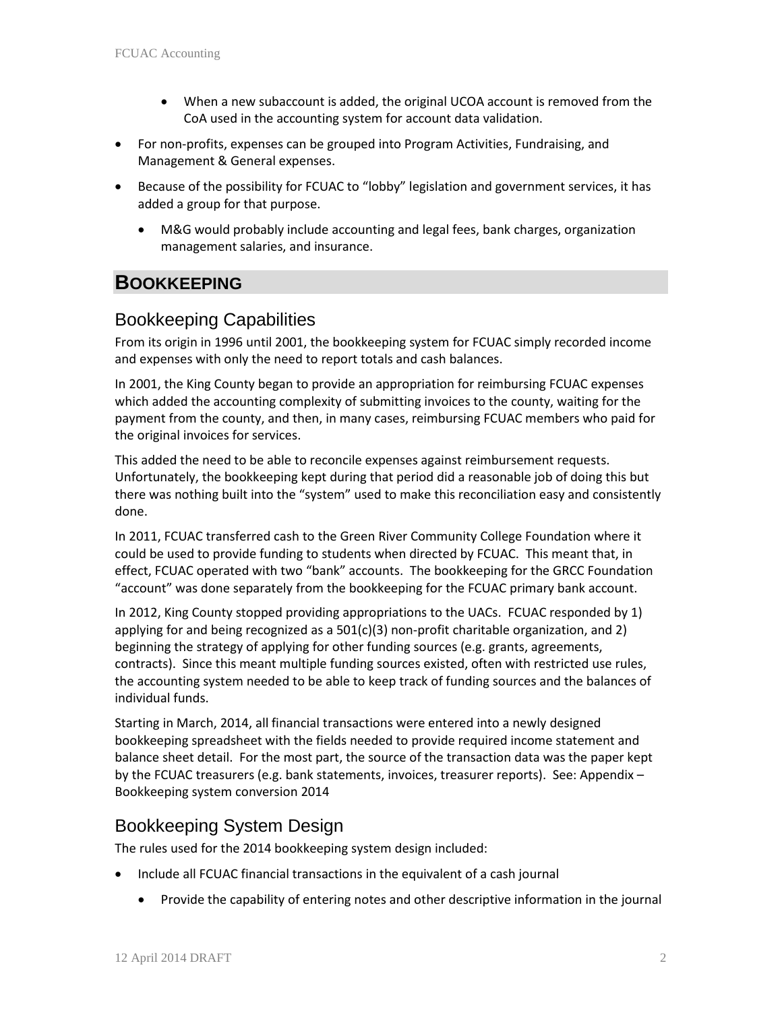- When a new subaccount is added, the original UCOA account is removed from the CoA used in the accounting system for account data validation.
- For non-profits, expenses can be grouped into Program Activities, Fundraising, and Management & General expenses.
- Because of the possibility for FCUAC to "lobby" legislation and government services, it has added a group for that purpose.
	- M&G would probably include accounting and legal fees, bank charges, organization management salaries, and insurance.

# **BOOKKEEPING**

# Bookkeeping Capabilities

From its origin in 1996 until 2001, the bookkeeping system for FCUAC simply recorded income and expenses with only the need to report totals and cash balances.

In 2001, the King County began to provide an appropriation for reimbursing FCUAC expenses which added the accounting complexity of submitting invoices to the county, waiting for the payment from the county, and then, in many cases, reimbursing FCUAC members who paid for the original invoices for services.

This added the need to be able to reconcile expenses against reimbursement requests. Unfortunately, the bookkeeping kept during that period did a reasonable job of doing this but there was nothing built into the "system" used to make this reconciliation easy and consistently done.

In 2011, FCUAC transferred cash to the Green River Community College Foundation where it could be used to provide funding to students when directed by FCUAC. This meant that, in effect, FCUAC operated with two "bank" accounts. The bookkeeping for the GRCC Foundation "account" was done separately from the bookkeeping for the FCUAC primary bank account.

In 2012, King County stopped providing appropriations to the UACs. FCUAC responded by 1) applying for and being recognized as a  $501(c)(3)$  non-profit charitable organization, and 2) beginning the strategy of applying for other funding sources (e.g. grants, agreements, contracts). Since this meant multiple funding sources existed, often with restricted use rules, the accounting system needed to be able to keep track of funding sources and the balances of individual funds.

Starting in March, 2014, all financial transactions were entered into a newly designed bookkeeping spreadsheet with the fields needed to provide required income statement and balance sheet detail. For the most part, the source of the transaction data was the paper kept by the FCUAC treasurers (e.g. bank statements, invoices, treasurer reports). See: Appendix – Bookkeeping system conversion 2014

# Bookkeeping System Design

The rules used for the 2014 bookkeeping system design included:

- Include all FCUAC financial transactions in the equivalent of a cash journal
	- Provide the capability of entering notes and other descriptive information in the journal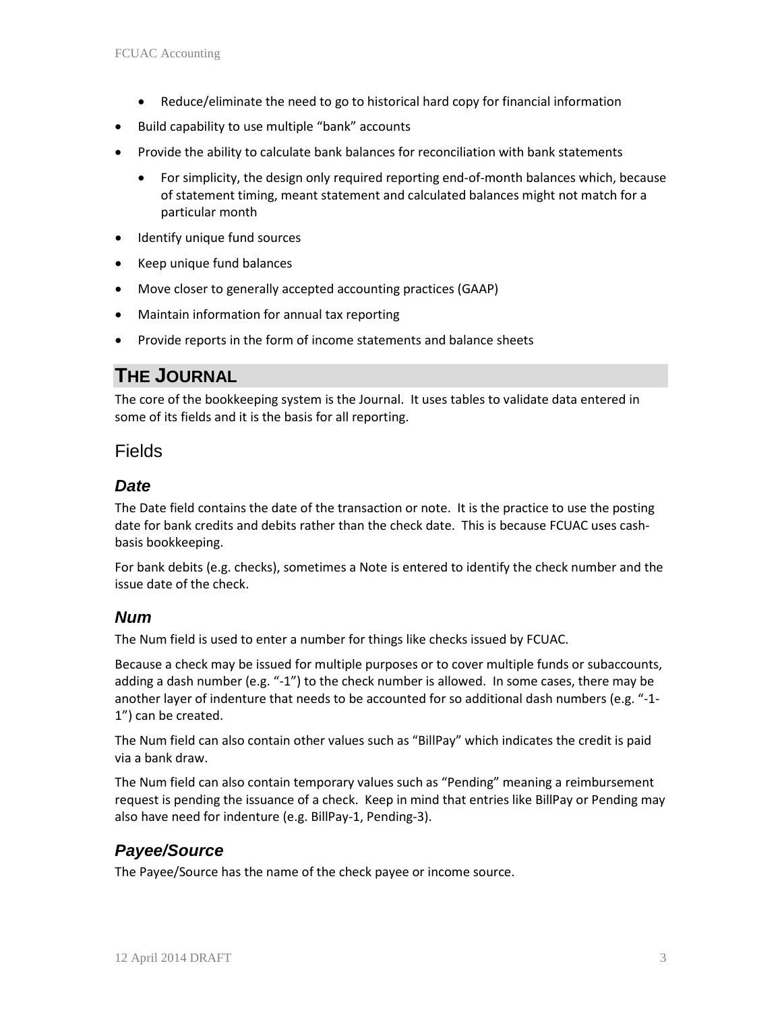- Reduce/eliminate the need to go to historical hard copy for financial information
- Build capability to use multiple "bank" accounts
- Provide the ability to calculate bank balances for reconciliation with bank statements
	- For simplicity, the design only required reporting end-of-month balances which, because of statement timing, meant statement and calculated balances might not match for a particular month
- Identify unique fund sources
- Keep unique fund balances
- Move closer to generally accepted accounting practices (GAAP)
- Maintain information for annual tax reporting
- Provide reports in the form of income statements and balance sheets

# **THE JOURNAL**

The core of the bookkeeping system is the Journal. It uses tables to validate data entered in some of its fields and it is the basis for all reporting.

#### Fields

#### *Date*

The Date field contains the date of the transaction or note. It is the practice to use the posting date for bank credits and debits rather than the check date. This is because FCUAC uses cashbasis bookkeeping.

For bank debits (e.g. checks), sometimes a Note is entered to identify the check number and the issue date of the check.

#### *Num*

The Num field is used to enter a number for things like checks issued by FCUAC.

Because a check may be issued for multiple purposes or to cover multiple funds or subaccounts, adding a dash number (e.g. "-1") to the check number is allowed. In some cases, there may be another layer of indenture that needs to be accounted for so additional dash numbers (e.g. "-1- 1") can be created.

The Num field can also contain other values such as "BillPay" which indicates the credit is paid via a bank draw.

The Num field can also contain temporary values such as "Pending" meaning a reimbursement request is pending the issuance of a check. Keep in mind that entries like BillPay or Pending may also have need for indenture (e.g. BillPay-1, Pending-3).

## *Payee/Source*

The Payee/Source has the name of the check payee or income source.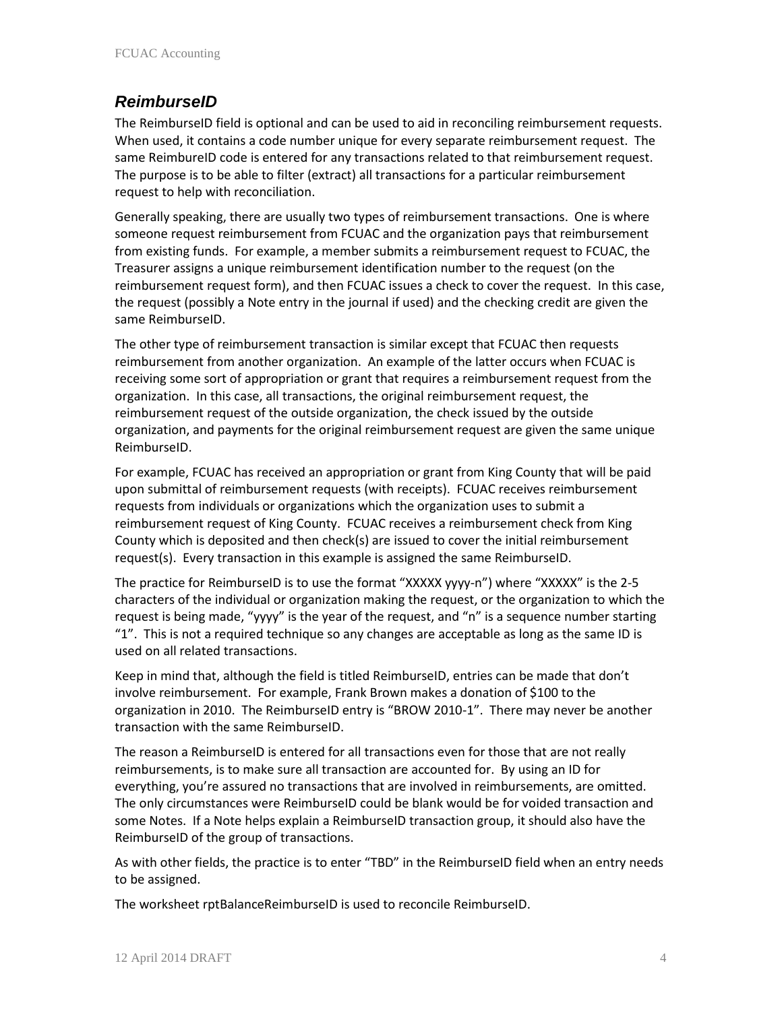#### *ReimburseID*

The ReimburseID field is optional and can be used to aid in reconciling reimbursement requests. When used, it contains a code number unique for every separate reimbursement request. The same ReimbureID code is entered for any transactions related to that reimbursement request. The purpose is to be able to filter (extract) all transactions for a particular reimbursement request to help with reconciliation.

Generally speaking, there are usually two types of reimbursement transactions. One is where someone request reimbursement from FCUAC and the organization pays that reimbursement from existing funds. For example, a member submits a reimbursement request to FCUAC, the Treasurer assigns a unique reimbursement identification number to the request (on the reimbursement request form), and then FCUAC issues a check to cover the request. In this case, the request (possibly a Note entry in the journal if used) and the checking credit are given the same ReimburseID.

The other type of reimbursement transaction is similar except that FCUAC then requests reimbursement from another organization. An example of the latter occurs when FCUAC is receiving some sort of appropriation or grant that requires a reimbursement request from the organization. In this case, all transactions, the original reimbursement request, the reimbursement request of the outside organization, the check issued by the outside organization, and payments for the original reimbursement request are given the same unique ReimburseID.

For example, FCUAC has received an appropriation or grant from King County that will be paid upon submittal of reimbursement requests (with receipts). FCUAC receives reimbursement requests from individuals or organizations which the organization uses to submit a reimbursement request of King County. FCUAC receives a reimbursement check from King County which is deposited and then check(s) are issued to cover the initial reimbursement request(s). Every transaction in this example is assigned the same ReimburseID.

The practice for ReimburseID is to use the format "XXXXX yyyy-n") where "XXXXX" is the 2-5 characters of the individual or organization making the request, or the organization to which the request is being made, "yyyy" is the year of the request, and "n" is a sequence number starting "1". This is not a required technique so any changes are acceptable as long as the same ID is used on all related transactions.

Keep in mind that, although the field is titled ReimburseID, entries can be made that don't involve reimbursement. For example, Frank Brown makes a donation of \$100 to the organization in 2010. The ReimburseID entry is "BROW 2010-1". There may never be another transaction with the same ReimburseID.

The reason a ReimburseID is entered for all transactions even for those that are not really reimbursements, is to make sure all transaction are accounted for. By using an ID for everything, you're assured no transactions that are involved in reimbursements, are omitted. The only circumstances were ReimburseID could be blank would be for voided transaction and some Notes. If a Note helps explain a ReimburseID transaction group, it should also have the ReimburseID of the group of transactions.

As with other fields, the practice is to enter "TBD" in the ReimburseID field when an entry needs to be assigned.

The worksheet rptBalanceReimburseID is used to reconcile ReimburseID.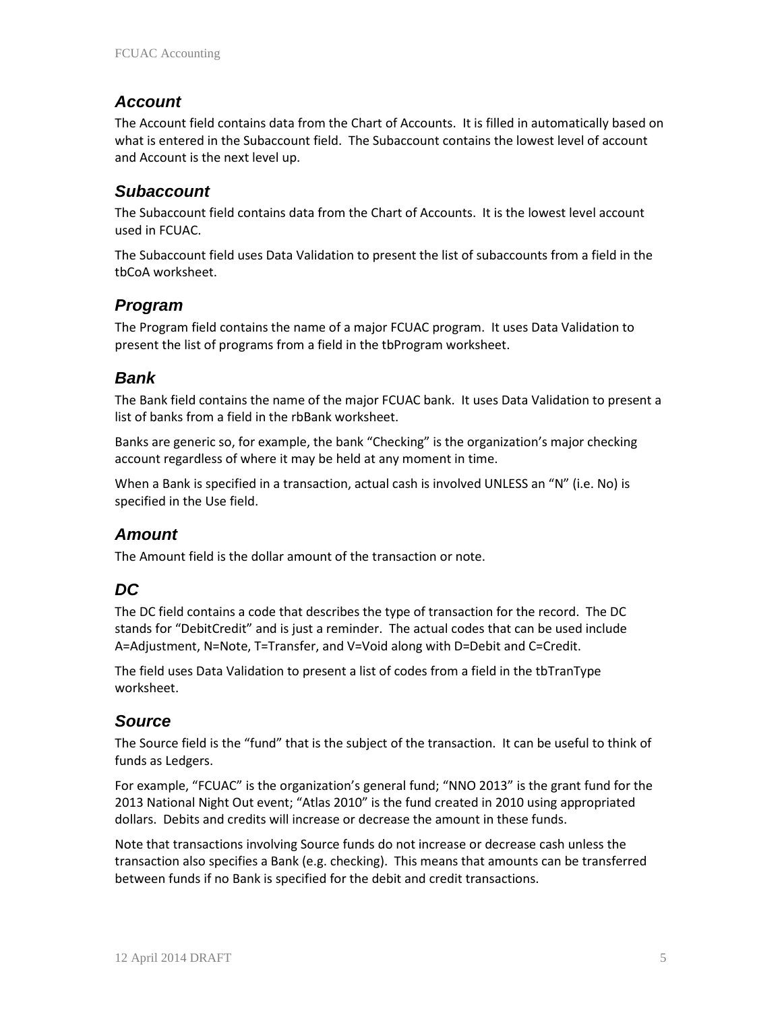#### *Account*

The Account field contains data from the Chart of Accounts. It is filled in automatically based on what is entered in the Subaccount field. The Subaccount contains the lowest level of account and Account is the next level up.

#### *Subaccount*

The Subaccount field contains data from the Chart of Accounts. It is the lowest level account used in FCUAC.

The Subaccount field uses Data Validation to present the list of subaccounts from a field in the tbCoA worksheet.

#### *Program*

The Program field contains the name of a major FCUAC program. It uses Data Validation to present the list of programs from a field in the tbProgram worksheet.

#### *Bank*

The Bank field contains the name of the major FCUAC bank. It uses Data Validation to present a list of banks from a field in the rbBank worksheet.

Banks are generic so, for example, the bank "Checking" is the organization's major checking account regardless of where it may be held at any moment in time.

When a Bank is specified in a transaction, actual cash is involved UNLESS an "N" (i.e. No) is specified in the Use field.

## *Amount*

The Amount field is the dollar amount of the transaction or note.

## *DC*

The DC field contains a code that describes the type of transaction for the record. The DC stands for "DebitCredit" and is just a reminder. The actual codes that can be used include A=Adjustment, N=Note, T=Transfer, and V=Void along with D=Debit and C=Credit.

The field uses Data Validation to present a list of codes from a field in the tbTranType worksheet.

#### *Source*

The Source field is the "fund" that is the subject of the transaction. It can be useful to think of funds as Ledgers.

For example, "FCUAC" is the organization's general fund; "NNO 2013" is the grant fund for the 2013 National Night Out event; "Atlas 2010" is the fund created in 2010 using appropriated dollars. Debits and credits will increase or decrease the amount in these funds.

Note that transactions involving Source funds do not increase or decrease cash unless the transaction also specifies a Bank (e.g. checking). This means that amounts can be transferred between funds if no Bank is specified for the debit and credit transactions.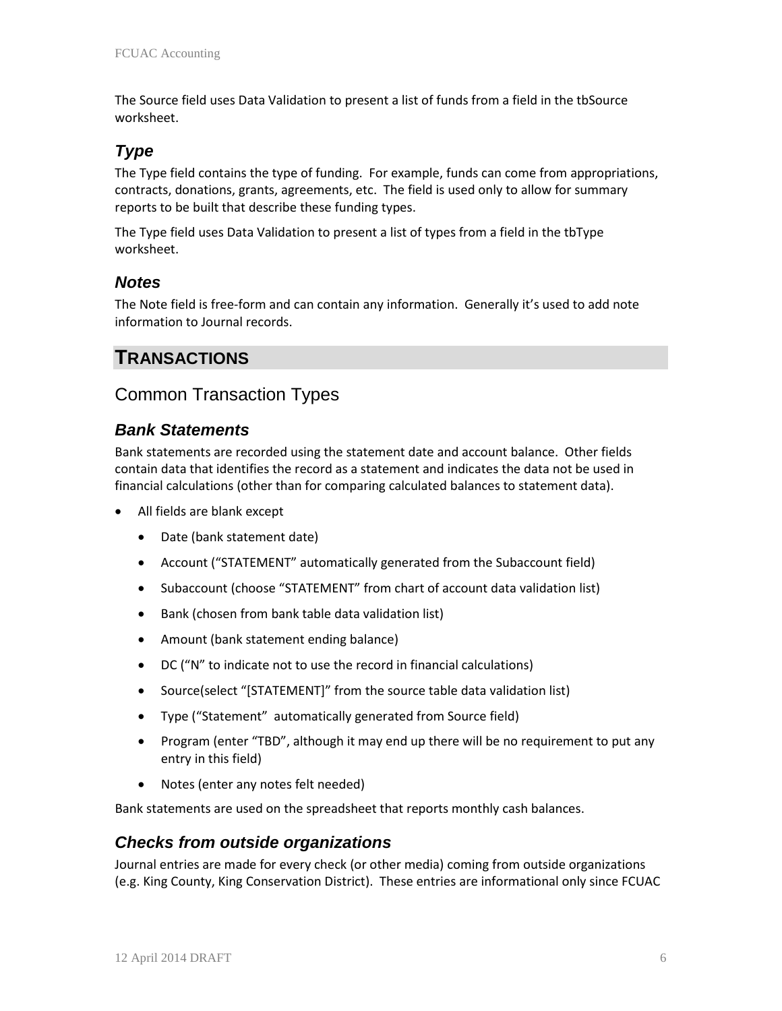The Source field uses Data Validation to present a list of funds from a field in the tbSource worksheet.

## *Type*

The Type field contains the type of funding. For example, funds can come from appropriations, contracts, donations, grants, agreements, etc. The field is used only to allow for summary reports to be built that describe these funding types.

The Type field uses Data Validation to present a list of types from a field in the tbType worksheet.

#### *Notes*

The Note field is free-form and can contain any information. Generally it's used to add note information to Journal records.

# **TRANSACTIONS**

## Common Transaction Types

#### *Bank Statements*

Bank statements are recorded using the statement date and account balance. Other fields contain data that identifies the record as a statement and indicates the data not be used in financial calculations (other than for comparing calculated balances to statement data).

- All fields are blank except
	- Date (bank statement date)
	- Account ("STATEMENT" automatically generated from the Subaccount field)
	- Subaccount (choose "STATEMENT" from chart of account data validation list)
	- Bank (chosen from bank table data validation list)
	- Amount (bank statement ending balance)
	- DC ("N" to indicate not to use the record in financial calculations)
	- Source(select "[STATEMENT]" from the source table data validation list)
	- Type ("Statement" automatically generated from Source field)
	- Program (enter "TBD", although it may end up there will be no requirement to put any entry in this field)
	- Notes (enter any notes felt needed)

Bank statements are used on the spreadsheet that reports monthly cash balances.

#### *Checks from outside organizations*

Journal entries are made for every check (or other media) coming from outside organizations (e.g. King County, King Conservation District). These entries are informational only since FCUAC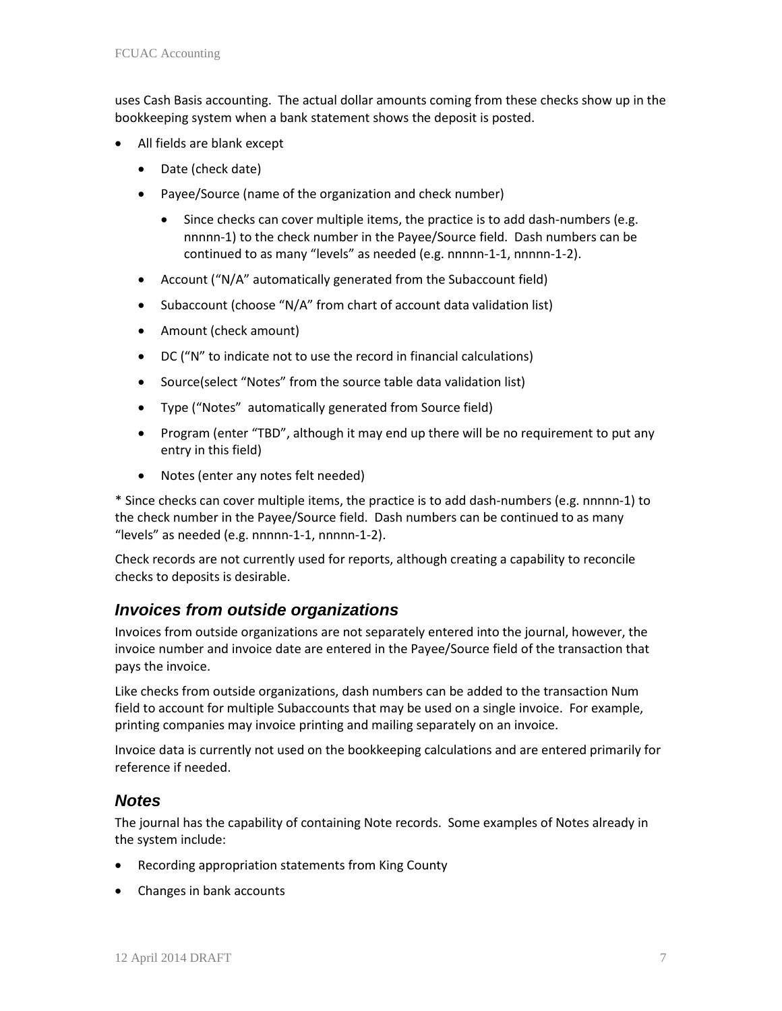uses Cash Basis accounting. The actual dollar amounts coming from these checks show up in the bookkeeping system when a bank statement shows the deposit is posted.

- All fields are blank except
	- Date (check date)
	- Payee/Source (name of the organization and check number)
		- Since checks can cover multiple items, the practice is to add dash-numbers (e.g. nnnnn-1) to the check number in the Payee/Source field. Dash numbers can be continued to as many "levels" as needed (e.g. nnnnn-1-1, nnnnn-1-2).
	- Account ("N/A" automatically generated from the Subaccount field)
	- Subaccount (choose "N/A" from chart of account data validation list)
	- Amount (check amount)
	- DC ("N" to indicate not to use the record in financial calculations)
	- Source(select "Notes" from the source table data validation list)
	- Type ("Notes" automatically generated from Source field)
	- Program (enter "TBD", although it may end up there will be no requirement to put any entry in this field)
	- Notes (enter any notes felt needed)

\* Since checks can cover multiple items, the practice is to add dash-numbers (e.g. nnnnn-1) to the check number in the Payee/Source field. Dash numbers can be continued to as many "levels" as needed (e.g. nnnnn-1-1, nnnnn-1-2).

Check records are not currently used for reports, although creating a capability to reconcile checks to deposits is desirable.

#### *Invoices from outside organizations*

Invoices from outside organizations are not separately entered into the journal, however, the invoice number and invoice date are entered in the Payee/Source field of the transaction that pays the invoice.

Like checks from outside organizations, dash numbers can be added to the transaction Num field to account for multiple Subaccounts that may be used on a single invoice. For example, printing companies may invoice printing and mailing separately on an invoice.

Invoice data is currently not used on the bookkeeping calculations and are entered primarily for reference if needed.

#### *Notes*

The journal has the capability of containing Note records. Some examples of Notes already in the system include:

- Recording appropriation statements from King County
- Changes in bank accounts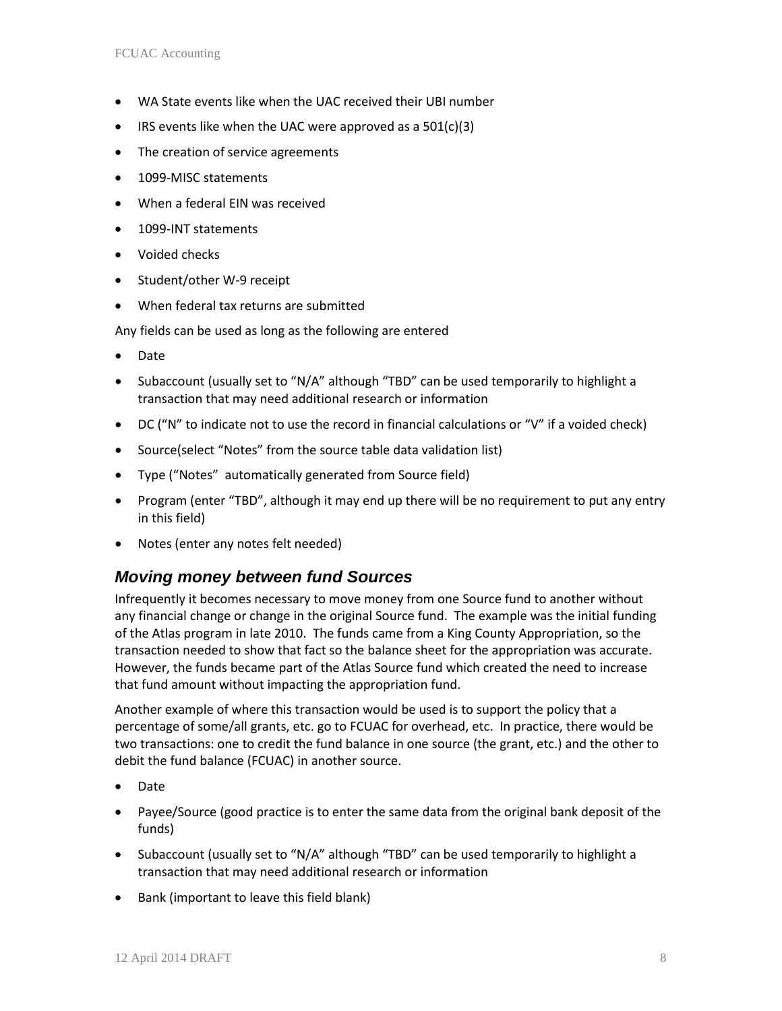- WA State events like when the UAC received their UBI number
- IRS events like when the UAC were approved as a  $501(c)(3)$
- The creation of service agreements
- 1099-MISC statements
- When a federal EIN was received
- 1099-INT statements
- Voided checks
- Student/other W-9 receipt
- When federal tax returns are submitted

Any fields can be used as long as the following are entered

- Date
- Subaccount (usually set to "N/A" although "TBD" can be used temporarily to highlight a transaction that may need additional research or information
- DC ("N" to indicate not to use the record in financial calculations or "V" if a voided check)
- Source(select "Notes" from the source table data validation list)
- Type ("Notes" automatically generated from Source field)
- Program (enter "TBD", although it may end up there will be no requirement to put any entry in this field)
- Notes (enter any notes felt needed)

#### *Moving money between fund Sources*

Infrequently it becomes necessary to move money from one Source fund to another without any financial change or change in the original Source fund. The example was the initial funding of the Atlas program in late 2010. The funds came from a King County Appropriation, so the transaction needed to show that fact so the balance sheet for the appropriation was accurate. However, the funds became part of the Atlas Source fund which created the need to increase that fund amount without impacting the appropriation fund.

Another example of where this transaction would be used is to support the policy that a percentage of some/all grants, etc. go to FCUAC for overhead, etc. In practice, there would be two transactions: one to credit the fund balance in one source (the grant, etc.) and the other to debit the fund balance (FCUAC) in another source.

- Date
- Payee/Source (good practice is to enter the same data from the original bank deposit of the funds)
- Subaccount (usually set to "N/A" although "TBD" can be used temporarily to highlight a transaction that may need additional research or information
- Bank (important to leave this field blank)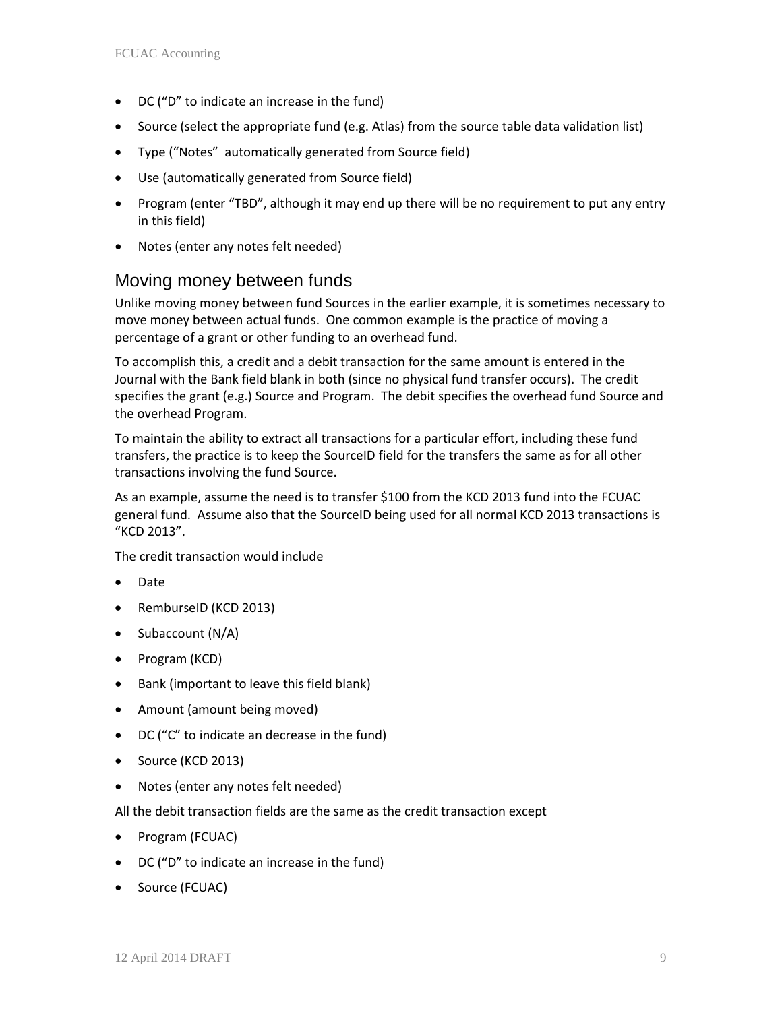- DC ("D" to indicate an increase in the fund)
- Source (select the appropriate fund (e.g. Atlas) from the source table data validation list)
- Type ("Notes" automatically generated from Source field)
- Use (automatically generated from Source field)
- Program (enter "TBD", although it may end up there will be no requirement to put any entry in this field)
- Notes (enter any notes felt needed)

## Moving money between funds

Unlike moving money between fund Sources in the earlier example, it is sometimes necessary to move money between actual funds. One common example is the practice of moving a percentage of a grant or other funding to an overhead fund.

To accomplish this, a credit and a debit transaction for the same amount is entered in the Journal with the Bank field blank in both (since no physical fund transfer occurs). The credit specifies the grant (e.g.) Source and Program. The debit specifies the overhead fund Source and the overhead Program.

To maintain the ability to extract all transactions for a particular effort, including these fund transfers, the practice is to keep the SourceID field for the transfers the same as for all other transactions involving the fund Source.

As an example, assume the need is to transfer \$100 from the KCD 2013 fund into the FCUAC general fund. Assume also that the SourceID being used for all normal KCD 2013 transactions is "KCD 2013".

The credit transaction would include

- Date
- RemburseID (KCD 2013)
- Subaccount (N/A)
- Program (KCD)
- Bank (important to leave this field blank)
- Amount (amount being moved)
- DC ("C" to indicate an decrease in the fund)
- Source (KCD 2013)
- Notes (enter any notes felt needed)

All the debit transaction fields are the same as the credit transaction except

- Program (FCUAC)
- DC ("D" to indicate an increase in the fund)
- Source (FCUAC)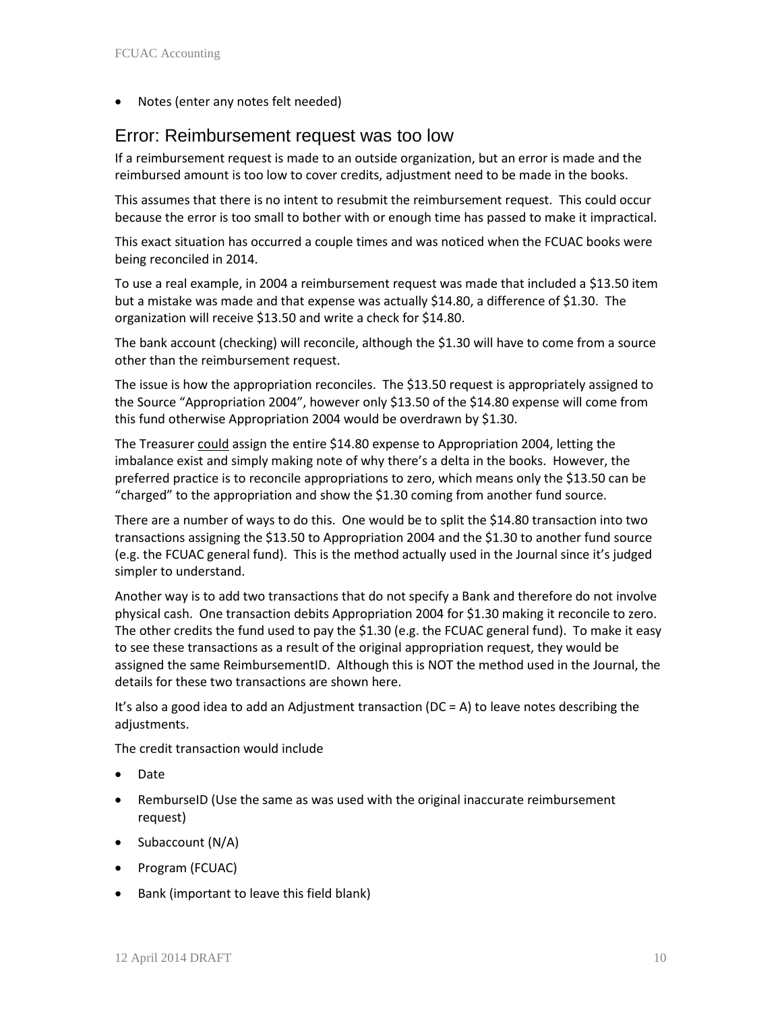• Notes (enter any notes felt needed)

## Error: Reimbursement request was too low

If a reimbursement request is made to an outside organization, but an error is made and the reimbursed amount is too low to cover credits, adjustment need to be made in the books.

This assumes that there is no intent to resubmit the reimbursement request. This could occur because the error is too small to bother with or enough time has passed to make it impractical.

This exact situation has occurred a couple times and was noticed when the FCUAC books were being reconciled in 2014.

To use a real example, in 2004 a reimbursement request was made that included a \$13.50 item but a mistake was made and that expense was actually \$14.80, a difference of \$1.30. The organization will receive \$13.50 and write a check for \$14.80.

The bank account (checking) will reconcile, although the \$1.30 will have to come from a source other than the reimbursement request.

The issue is how the appropriation reconciles. The \$13.50 request is appropriately assigned to the Source "Appropriation 2004", however only \$13.50 of the \$14.80 expense will come from this fund otherwise Appropriation 2004 would be overdrawn by \$1.30.

The Treasurer could assign the entire \$14.80 expense to Appropriation 2004, letting the imbalance exist and simply making note of why there's a delta in the books. However, the preferred practice is to reconcile appropriations to zero, which means only the \$13.50 can be "charged" to the appropriation and show the \$1.30 coming from another fund source.

There are a number of ways to do this. One would be to split the \$14.80 transaction into two transactions assigning the \$13.50 to Appropriation 2004 and the \$1.30 to another fund source (e.g. the FCUAC general fund). This is the method actually used in the Journal since it's judged simpler to understand.

Another way is to add two transactions that do not specify a Bank and therefore do not involve physical cash. One transaction debits Appropriation 2004 for \$1.30 making it reconcile to zero. The other credits the fund used to pay the \$1.30 (e.g. the FCUAC general fund). To make it easy to see these transactions as a result of the original appropriation request, they would be assigned the same ReimbursementID. Although this is NOT the method used in the Journal, the details for these two transactions are shown here.

It's also a good idea to add an Adjustment transaction (DC = A) to leave notes describing the adjustments.

The credit transaction would include

- Date
- RemburseID (Use the same as was used with the original inaccurate reimbursement request)
- Subaccount (N/A)
- Program (FCUAC)
- Bank (important to leave this field blank)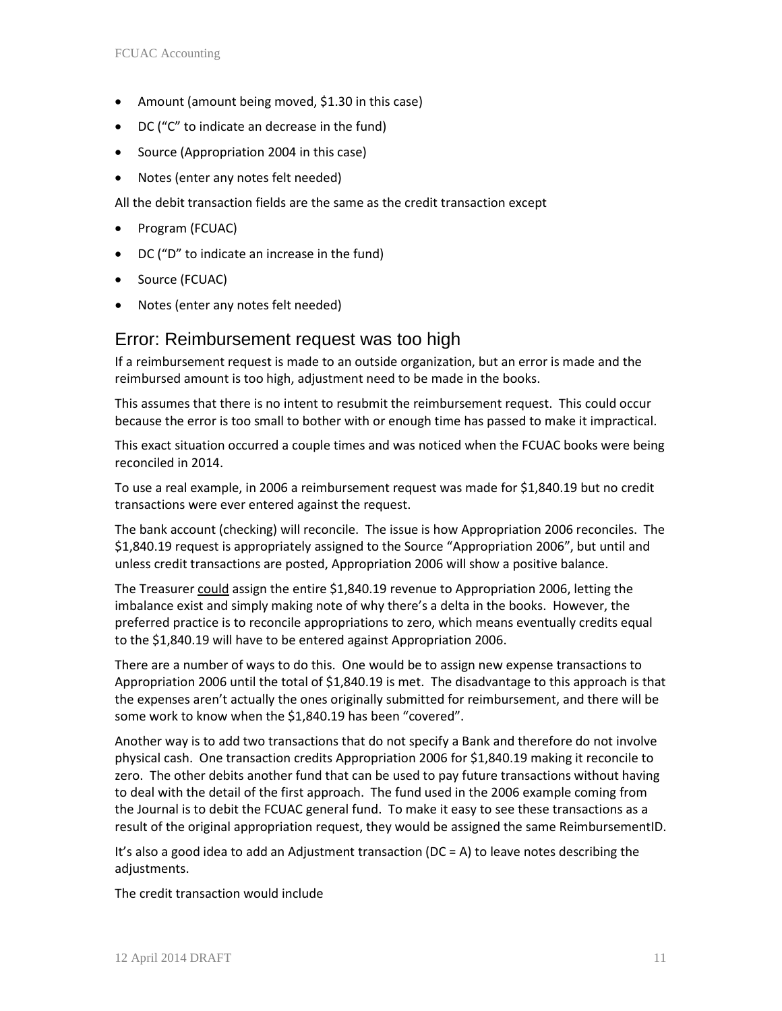- Amount (amount being moved, \$1.30 in this case)
- DC ("C" to indicate an decrease in the fund)
- Source (Appropriation 2004 in this case)
- Notes (enter any notes felt needed)

All the debit transaction fields are the same as the credit transaction except

- Program (FCUAC)
- DC ("D" to indicate an increase in the fund)
- Source (FCUAC)
- Notes (enter any notes felt needed)

#### Error: Reimbursement request was too high

If a reimbursement request is made to an outside organization, but an error is made and the reimbursed amount is too high, adjustment need to be made in the books.

This assumes that there is no intent to resubmit the reimbursement request. This could occur because the error is too small to bother with or enough time has passed to make it impractical.

This exact situation occurred a couple times and was noticed when the FCUAC books were being reconciled in 2014.

To use a real example, in 2006 a reimbursement request was made for \$1,840.19 but no credit transactions were ever entered against the request.

The bank account (checking) will reconcile. The issue is how Appropriation 2006 reconciles. The \$1,840.19 request is appropriately assigned to the Source "Appropriation 2006", but until and unless credit transactions are posted, Appropriation 2006 will show a positive balance.

The Treasurer could assign the entire \$1,840.19 revenue to Appropriation 2006, letting the imbalance exist and simply making note of why there's a delta in the books. However, the preferred practice is to reconcile appropriations to zero, which means eventually credits equal to the \$1,840.19 will have to be entered against Appropriation 2006.

There are a number of ways to do this. One would be to assign new expense transactions to Appropriation 2006 until the total of \$1,840.19 is met. The disadvantage to this approach is that the expenses aren't actually the ones originally submitted for reimbursement, and there will be some work to know when the \$1,840.19 has been "covered".

Another way is to add two transactions that do not specify a Bank and therefore do not involve physical cash. One transaction credits Appropriation 2006 for \$1,840.19 making it reconcile to zero. The other debits another fund that can be used to pay future transactions without having to deal with the detail of the first approach. The fund used in the 2006 example coming from the Journal is to debit the FCUAC general fund. To make it easy to see these transactions as a result of the original appropriation request, they would be assigned the same ReimbursementID.

It's also a good idea to add an Adjustment transaction (DC = A) to leave notes describing the adjustments.

The credit transaction would include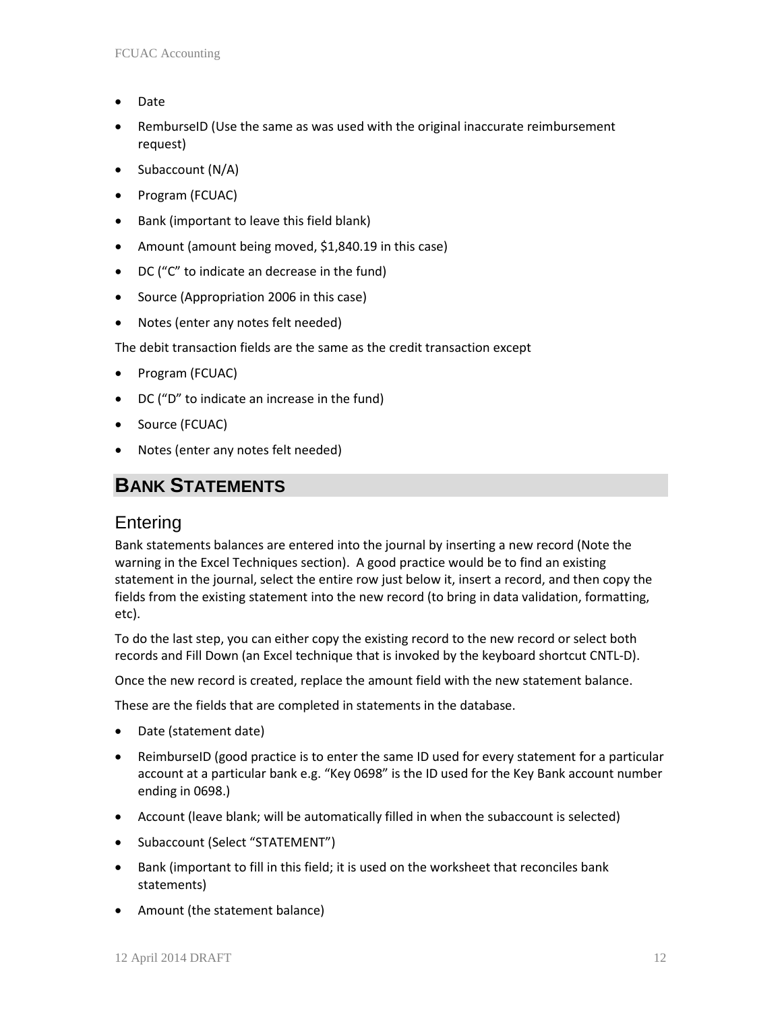- Date
- RemburseID (Use the same as was used with the original inaccurate reimbursement request)
- Subaccount (N/A)
- Program (FCUAC)
- Bank (important to leave this field blank)
- Amount (amount being moved, \$1,840.19 in this case)
- DC ("C" to indicate an decrease in the fund)
- Source (Appropriation 2006 in this case)
- Notes (enter any notes felt needed)

The debit transaction fields are the same as the credit transaction except

- Program (FCUAC)
- DC ("D" to indicate an increase in the fund)
- Source (FCUAC)
- Notes (enter any notes felt needed)

# **BANK STATEMENTS**

## Entering

Bank statements balances are entered into the journal by inserting a new record (Note the warning in the Excel Techniques section). A good practice would be to find an existing statement in the journal, select the entire row just below it, insert a record, and then copy the fields from the existing statement into the new record (to bring in data validation, formatting, etc).

To do the last step, you can either copy the existing record to the new record or select both records and Fill Down (an Excel technique that is invoked by the keyboard shortcut CNTL-D).

Once the new record is created, replace the amount field with the new statement balance.

These are the fields that are completed in statements in the database.

- Date (statement date)
- ReimburseID (good practice is to enter the same ID used for every statement for a particular account at a particular bank e.g. "Key 0698" is the ID used for the Key Bank account number ending in 0698.)
- Account (leave blank; will be automatically filled in when the subaccount is selected)
- Subaccount (Select "STATEMENT")
- Bank (important to fill in this field; it is used on the worksheet that reconciles bank statements)
- Amount (the statement balance)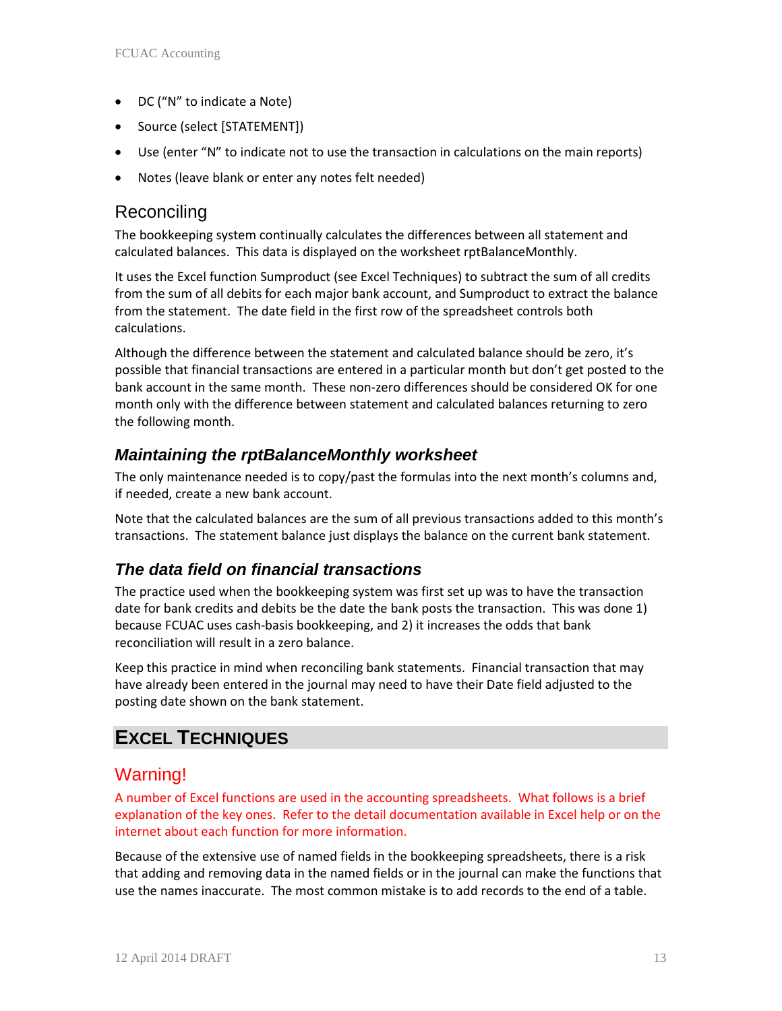- DC ("N" to indicate a Note)
- Source (select [STATEMENT])
- Use (enter "N" to indicate not to use the transaction in calculations on the main reports)
- Notes (leave blank or enter any notes felt needed)

## **Reconciling**

The bookkeeping system continually calculates the differences between all statement and calculated balances. This data is displayed on the worksheet rptBalanceMonthly.

It uses the Excel function Sumproduct (see Excel Techniques) to subtract the sum of all credits from the sum of all debits for each major bank account, and Sumproduct to extract the balance from the statement. The date field in the first row of the spreadsheet controls both calculations.

Although the difference between the statement and calculated balance should be zero, it's possible that financial transactions are entered in a particular month but don't get posted to the bank account in the same month. These non-zero differences should be considered OK for one month only with the difference between statement and calculated balances returning to zero the following month.

## *Maintaining the rptBalanceMonthly worksheet*

The only maintenance needed is to copy/past the formulas into the next month's columns and, if needed, create a new bank account.

Note that the calculated balances are the sum of all previous transactions added to this month's transactions. The statement balance just displays the balance on the current bank statement.

## *The data field on financial transactions*

The practice used when the bookkeeping system was first set up was to have the transaction date for bank credits and debits be the date the bank posts the transaction. This was done 1) because FCUAC uses cash-basis bookkeeping, and 2) it increases the odds that bank reconciliation will result in a zero balance.

Keep this practice in mind when reconciling bank statements. Financial transaction that may have already been entered in the journal may need to have their Date field adjusted to the posting date shown on the bank statement.

# **EXCEL TECHNIQUES**

## Warning!

A number of Excel functions are used in the accounting spreadsheets. What follows is a brief explanation of the key ones. Refer to the detail documentation available in Excel help or on the internet about each function for more information.

Because of the extensive use of named fields in the bookkeeping spreadsheets, there is a risk that adding and removing data in the named fields or in the journal can make the functions that use the names inaccurate. The most common mistake is to add records to the end of a table.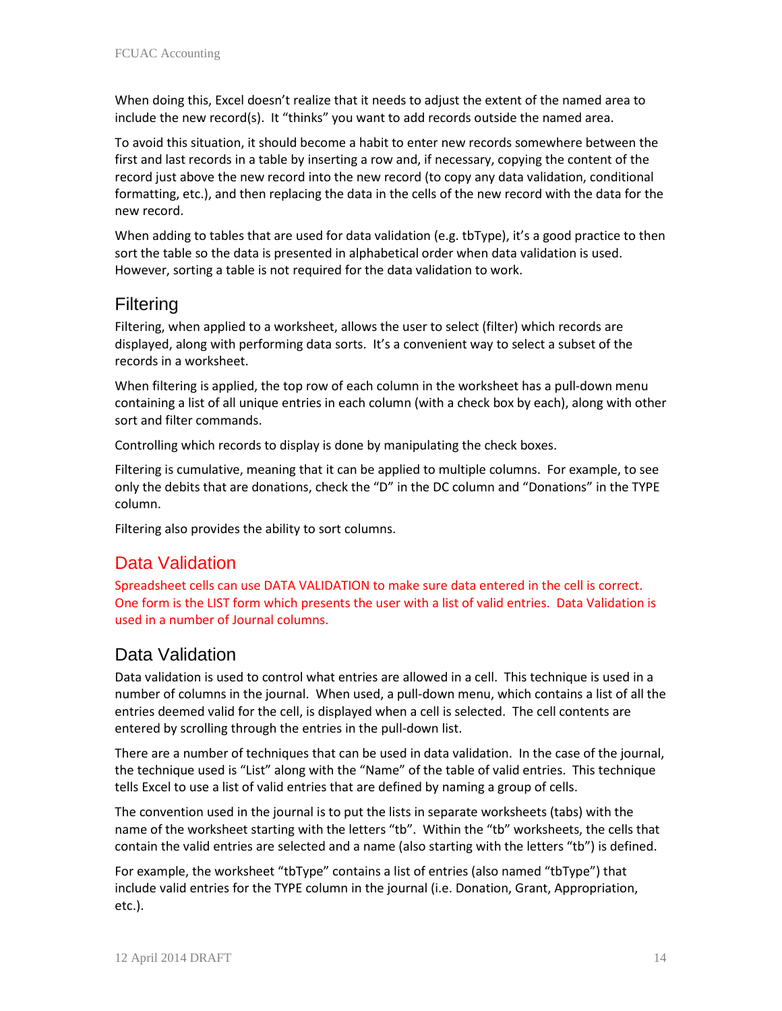When doing this, Excel doesn't realize that it needs to adjust the extent of the named area to include the new record(s). It "thinks" you want to add records outside the named area.

To avoid this situation, it should become a habit to enter new records somewhere between the first and last records in a table by inserting a row and, if necessary, copying the content of the record just above the new record into the new record (to copy any data validation, conditional formatting, etc.), and then replacing the data in the cells of the new record with the data for the new record.

When adding to tables that are used for data validation (e.g. tbType), it's a good practice to then sort the table so the data is presented in alphabetical order when data validation is used. However, sorting a table is not required for the data validation to work.

# Filtering

Filtering, when applied to a worksheet, allows the user to select (filter) which records are displayed, along with performing data sorts. It's a convenient way to select a subset of the records in a worksheet.

When filtering is applied, the top row of each column in the worksheet has a pull-down menu containing a list of all unique entries in each column (with a check box by each), along with other sort and filter commands.

Controlling which records to display is done by manipulating the check boxes.

Filtering is cumulative, meaning that it can be applied to multiple columns. For example, to see only the debits that are donations, check the "D" in the DC column and "Donations" in the TYPE column.

Filtering also provides the ability to sort columns.

## Data Validation

Spreadsheet cells can use DATA VALIDATION to make sure data entered in the cell is correct. One form is the LIST form which presents the user with a list of valid entries. Data Validation is used in a number of Journal columns.

## Data Validation

Data validation is used to control what entries are allowed in a cell. This technique is used in a number of columns in the journal. When used, a pull-down menu, which contains a list of all the entries deemed valid for the cell, is displayed when a cell is selected. The cell contents are entered by scrolling through the entries in the pull-down list.

There are a number of techniques that can be used in data validation. In the case of the journal, the technique used is "List" along with the "Name" of the table of valid entries. This technique tells Excel to use a list of valid entries that are defined by naming a group of cells.

The convention used in the journal is to put the lists in separate worksheets (tabs) with the name of the worksheet starting with the letters "tb". Within the "tb" worksheets, the cells that contain the valid entries are selected and a name (also starting with the letters "tb") is defined.

For example, the worksheet "tbType" contains a list of entries (also named "tbType") that include valid entries for the TYPE column in the journal (i.e. Donation, Grant, Appropriation, etc.).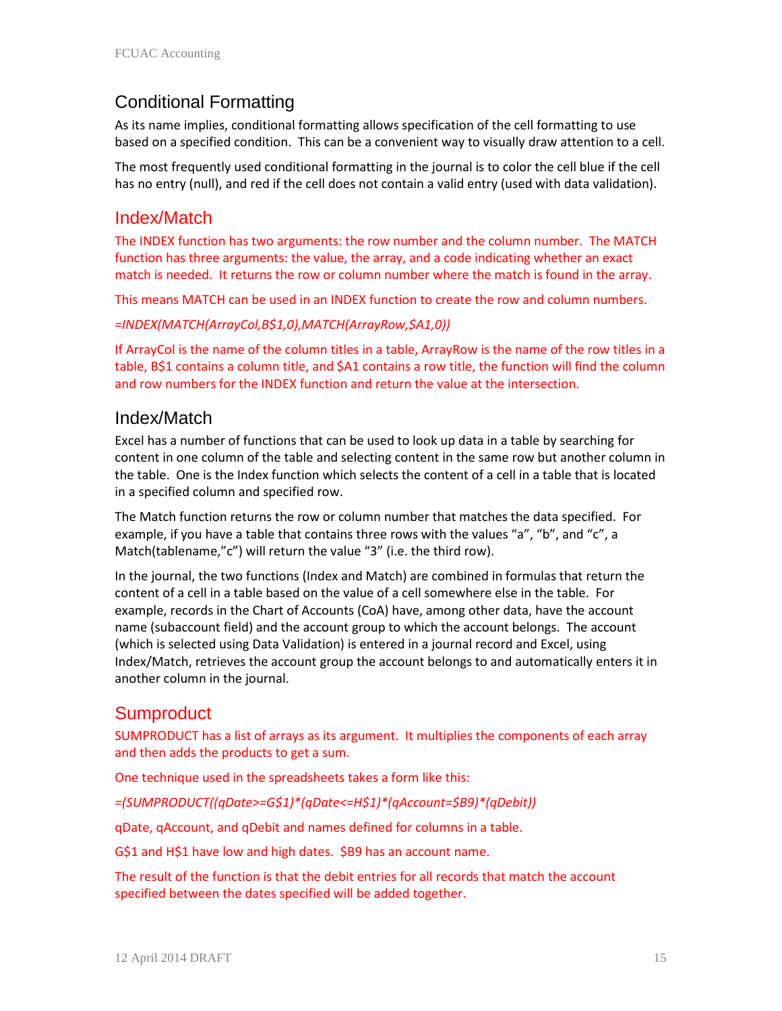## Conditional Formatting

As its name implies, conditional formatting allows specification of the cell formatting to use based on a specified condition. This can be a convenient way to visually draw attention to a cell.

The most frequently used conditional formatting in the journal is to color the cell blue if the cell has no entry (null), and red if the cell does not contain a valid entry (used with data validation).

#### Index/Match

The INDEX function has two arguments: the row number and the column number. The MATCH function has three arguments: the value, the array, and a code indicating whether an exact match is needed. It returns the row or column number where the match is found in the array.

This means MATCH can be used in an INDEX function to create the row and column numbers.

*=INDEX(MATCH(ArrayCol,B\$1,0),MATCH(ArrayRow,\$A1,0))*

If ArrayCol is the name of the column titles in a table, ArrayRow is the name of the row titles in a table, B\$1 contains a column title, and \$A1 contains a row title, the function will find the column and row numbers for the INDEX function and return the value at the intersection.

#### Index/Match

Excel has a number of functions that can be used to look up data in a table by searching for content in one column of the table and selecting content in the same row but another column in the table. One is the Index function which selects the content of a cell in a table that is located in a specified column and specified row.

The Match function returns the row or column number that matches the data specified. For example, if you have a table that contains three rows with the values "a", "b", and "c", a Match(tablename,"c") will return the value "3" (i.e. the third row).

In the journal, the two functions (Index and Match) are combined in formulas that return the content of a cell in a table based on the value of a cell somewhere else in the table. For example, records in the Chart of Accounts (CoA) have, among other data, have the account name (subaccount field) and the account group to which the account belongs. The account (which is selected using Data Validation) is entered in a journal record and Excel, using Index/Match, retrieves the account group the account belongs to and automatically enters it in another column in the journal.

## **Sumproduct**

SUMPRODUCT has a list of arrays as its argument. It multiplies the components of each array and then adds the products to get a sum.

One technique used in the spreadsheets takes a form like this:

*=(SUMPRODUCT((qDate>=G\$1)\*(qDate<=H\$1)\*(qAccount=\$B9)\*(qDebit))*

qDate, qAccount, and qDebit and names defined for columns in a table.

G\$1 and H\$1 have low and high dates. \$B9 has an account name.

The result of the function is that the debit entries for all records that match the account specified between the dates specified will be added together.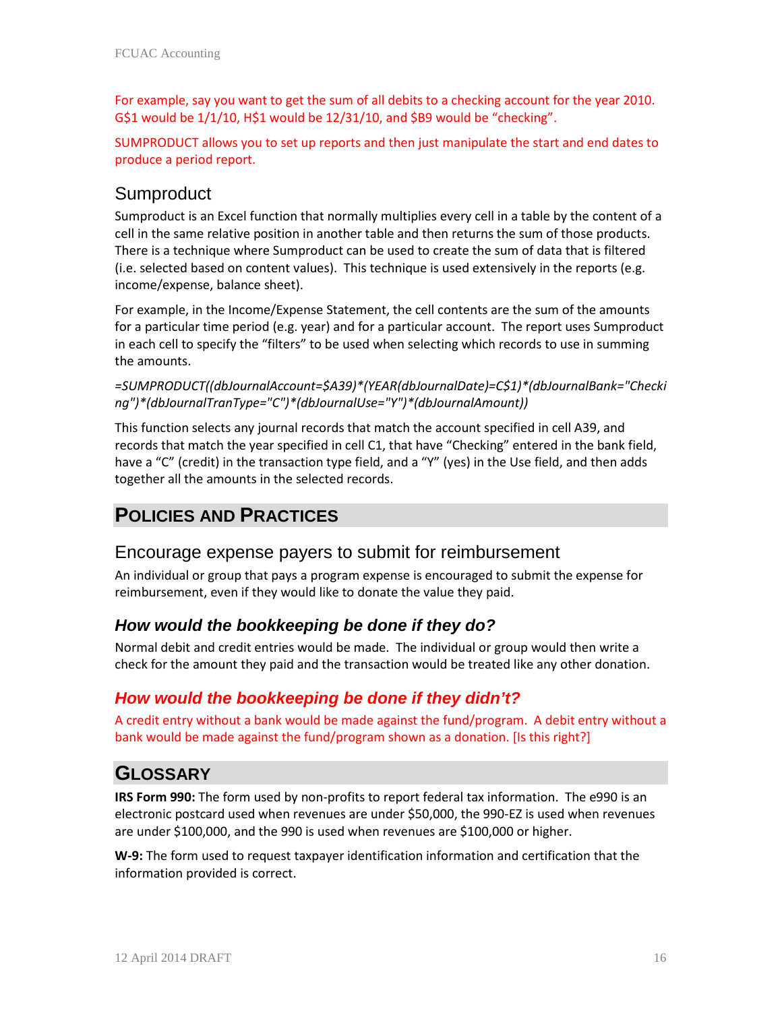For example, say you want to get the sum of all debits to a checking account for the year 2010. G\$1 would be 1/1/10, H\$1 would be 12/31/10, and \$B9 would be "checking".

SUMPRODUCT allows you to set up reports and then just manipulate the start and end dates to produce a period report.

# **Sumproduct**

Sumproduct is an Excel function that normally multiplies every cell in a table by the content of a cell in the same relative position in another table and then returns the sum of those products. There is a technique where Sumproduct can be used to create the sum of data that is filtered (i.e. selected based on content values). This technique is used extensively in the reports (e.g. income/expense, balance sheet).

For example, in the Income/Expense Statement, the cell contents are the sum of the amounts for a particular time period (e.g. year) and for a particular account. The report uses Sumproduct in each cell to specify the "filters" to be used when selecting which records to use in summing the amounts.

*=SUMPRODUCT((dbJournalAccount=\$A39)\*(YEAR(dbJournalDate)=C\$1)\*(dbJournalBank="Checki ng")\*(dbJournalTranType="C")\*(dbJournalUse="Y")\*(dbJournalAmount))*

This function selects any journal records that match the account specified in cell A39, and records that match the year specified in cell C1, that have "Checking" entered in the bank field, have a "C" (credit) in the transaction type field, and a "Y" (yes) in the Use field, and then adds together all the amounts in the selected records.

# **POLICIES AND PRACTICES**

## Encourage expense payers to submit for reimbursement

An individual or group that pays a program expense is encouraged to submit the expense for reimbursement, even if they would like to donate the value they paid.

## *How would the bookkeeping be done if they do?*

Normal debit and credit entries would be made. The individual or group would then write a check for the amount they paid and the transaction would be treated like any other donation.

## *How would the bookkeeping be done if they didn't?*

A credit entry without a bank would be made against the fund/program. A debit entry without a bank would be made against the fund/program shown as a donation. [Is this right?]

# **GLOSSARY**

**IRS Form 990:** The form used by non-profits to report federal tax information. The e990 is an electronic postcard used when revenues are under \$50,000, the 990-EZ is used when revenues are under \$100,000, and the 990 is used when revenues are \$100,000 or higher.

**W-9:** The form used to request taxpayer identification information and certification that the information provided is correct.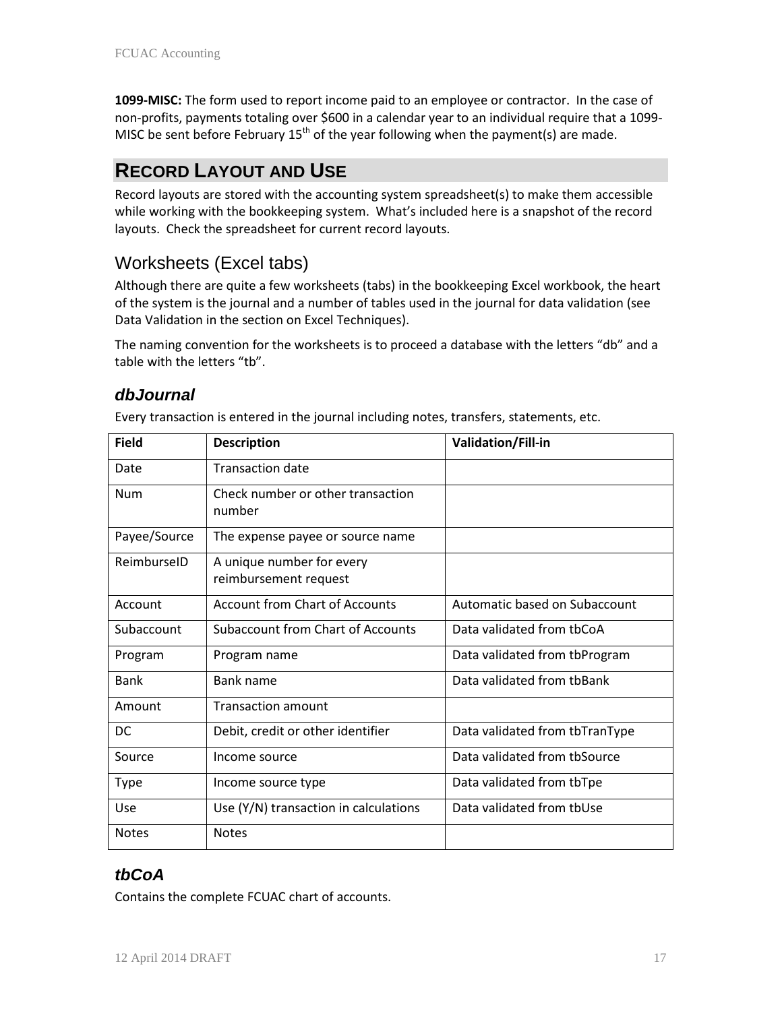**1099-MISC:** The form used to report income paid to an employee or contractor. In the case of non-profits, payments totaling over \$600 in a calendar year to an individual require that a 1099- MISC be sent before February  $15<sup>th</sup>$  of the year following when the payment(s) are made.

# **RECORD LAYOUT AND USE**

Record layouts are stored with the accounting system spreadsheet(s) to make them accessible while working with the bookkeeping system. What's included here is a snapshot of the record layouts. Check the spreadsheet for current record layouts.

# Worksheets (Excel tabs)

Although there are quite a few worksheets (tabs) in the bookkeeping Excel workbook, the heart of the system is the journal and a number of tables used in the journal for data validation (see Data Validation in the section on Excel Techniques).

The naming convention for the worksheets is to proceed a database with the letters "db" and a table with the letters "tb".

## *dbJournal*

Every transaction is entered in the journal including notes, transfers, statements, etc.

| <b>Field</b> | <b>Description</b>                                 | Validation/Fill-in             |
|--------------|----------------------------------------------------|--------------------------------|
| Date         | <b>Transaction date</b>                            |                                |
| <b>Num</b>   | Check number or other transaction<br>number        |                                |
| Payee/Source | The expense payee or source name                   |                                |
| ReimburselD  | A unique number for every<br>reimbursement request |                                |
| Account      | <b>Account from Chart of Accounts</b>              | Automatic based on Subaccount  |
| Subaccount   | Subaccount from Chart of Accounts                  | Data validated from tbCoA      |
| Program      | Program name                                       | Data validated from tbProgram  |
| <b>Bank</b>  | <b>Bank name</b>                                   | Data validated from thBank     |
| Amount       | <b>Transaction amount</b>                          |                                |
| DC           | Debit, credit or other identifier                  | Data validated from tbTranType |
| Source       | Income source                                      | Data validated from thSource   |
| <b>Type</b>  | Income source type                                 | Data validated from tbTpe      |
| Use          | Use (Y/N) transaction in calculations              | Data validated from tbUse      |
| <b>Notes</b> | <b>Notes</b>                                       |                                |

## *tbCoA*

Contains the complete FCUAC chart of accounts.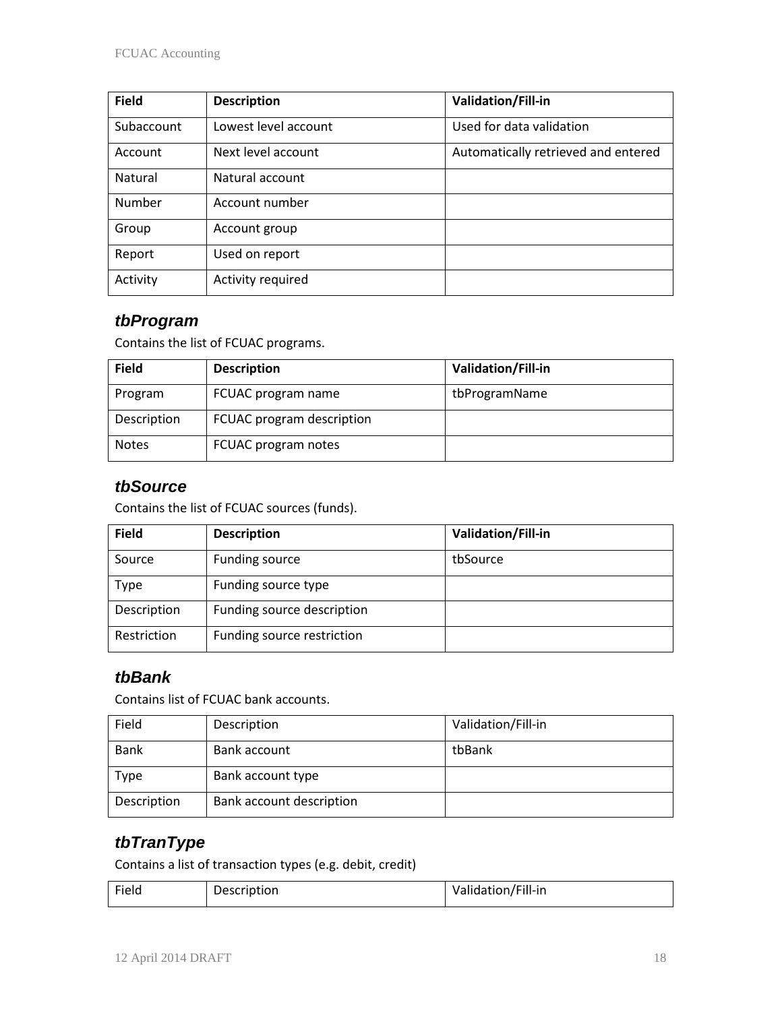| <b>Field</b> | <b>Description</b>   | Validation/Fill-in                  |
|--------------|----------------------|-------------------------------------|
| Subaccount   | Lowest level account | Used for data validation            |
| Account      | Next level account   | Automatically retrieved and entered |
| Natural      | Natural account      |                                     |
| Number       | Account number       |                                     |
| Group        | Account group        |                                     |
| Report       | Used on report       |                                     |
| Activity     | Activity required    |                                     |

## *tbProgram*

Contains the list of FCUAC programs.

| <b>Field</b> | <b>Description</b>        | Validation/Fill-in |
|--------------|---------------------------|--------------------|
| Program      | FCUAC program name        | tbProgramName      |
| Description  | FCUAC program description |                    |
| <b>Notes</b> | FCUAC program notes       |                    |

## *tbSource*

Contains the list of FCUAC sources (funds).

| <b>Field</b> | <b>Description</b>         | Validation/Fill-in |
|--------------|----------------------------|--------------------|
| Source       | Funding source             | tbSource           |
| <b>Type</b>  | Funding source type        |                    |
| Description  | Funding source description |                    |
| Restriction  | Funding source restriction |                    |

## *tbBank*

Contains list of FCUAC bank accounts.

| Field       | Description              | Validation/Fill-in |
|-------------|--------------------------|--------------------|
| <b>Bank</b> | Bank account             | tbBank             |
| <b>Type</b> | Bank account type        |                    |
| Description | Bank account description |                    |

# *tbTranType*

Contains a list of transaction types (e.g. debit, credit)

| Field | Description | $I = 11$<br>Validation/Fill-in |
|-------|-------------|--------------------------------|
|-------|-------------|--------------------------------|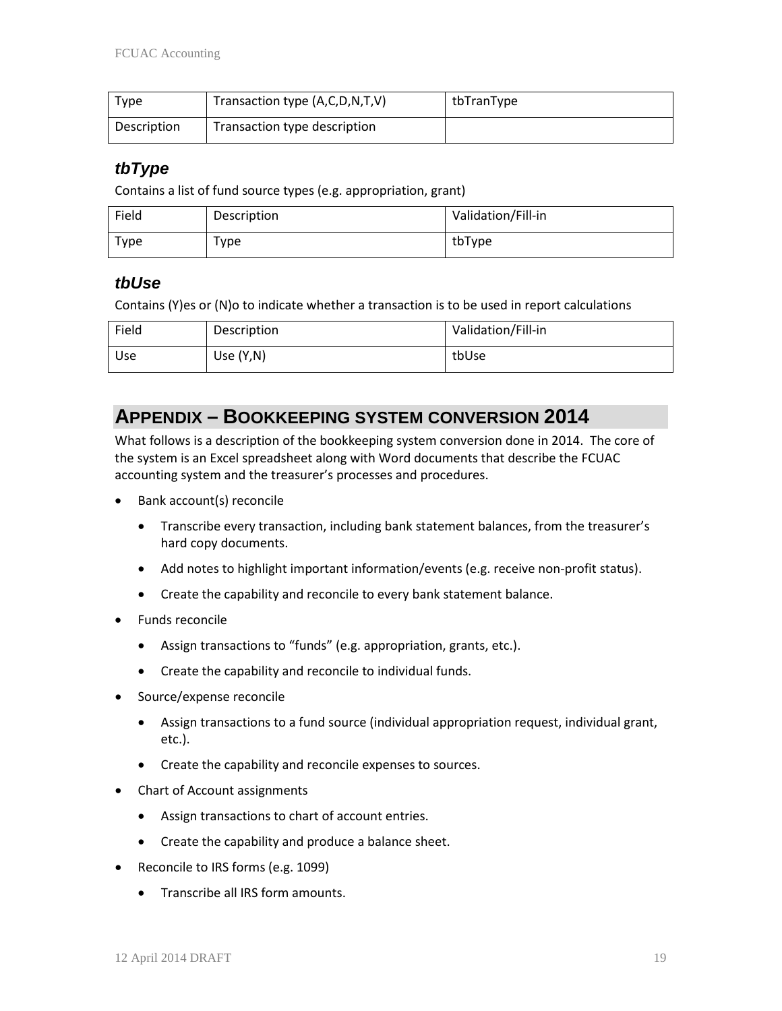| Type        | Transaction type (A,C,D,N,T,V) | tbTranType |
|-------------|--------------------------------|------------|
| Description | Transaction type description   |            |

#### *tbType*

Contains a list of fund source types (e.g. appropriation, grant)

| Field | Description | Validation/Fill-in |
|-------|-------------|--------------------|
| Type  | $\tau$ vpe  | tbType             |

#### *tbUse*

Contains (Y)es or (N)o to indicate whether a transaction is to be used in report calculations

| Field | Description  | Validation/Fill-in |
|-------|--------------|--------------------|
| Use   | Use $(Y, N)$ | tbUse              |

# **APPENDIX – BOOKKEEPING SYSTEM CONVERSION 2014**

What follows is a description of the bookkeeping system conversion done in 2014. The core of the system is an Excel spreadsheet along with Word documents that describe the FCUAC accounting system and the treasurer's processes and procedures.

- Bank account(s) reconcile
	- Transcribe every transaction, including bank statement balances, from the treasurer's hard copy documents.
	- Add notes to highlight important information/events (e.g. receive non-profit status).
	- Create the capability and reconcile to every bank statement balance.
- Funds reconcile
	- Assign transactions to "funds" (e.g. appropriation, grants, etc.).
	- Create the capability and reconcile to individual funds.
- Source/expense reconcile
	- Assign transactions to a fund source (individual appropriation request, individual grant, etc.).
	- Create the capability and reconcile expenses to sources.
- Chart of Account assignments
	- Assign transactions to chart of account entries.
	- Create the capability and produce a balance sheet.
- Reconcile to IRS forms (e.g. 1099)
	- Transcribe all IRS form amounts.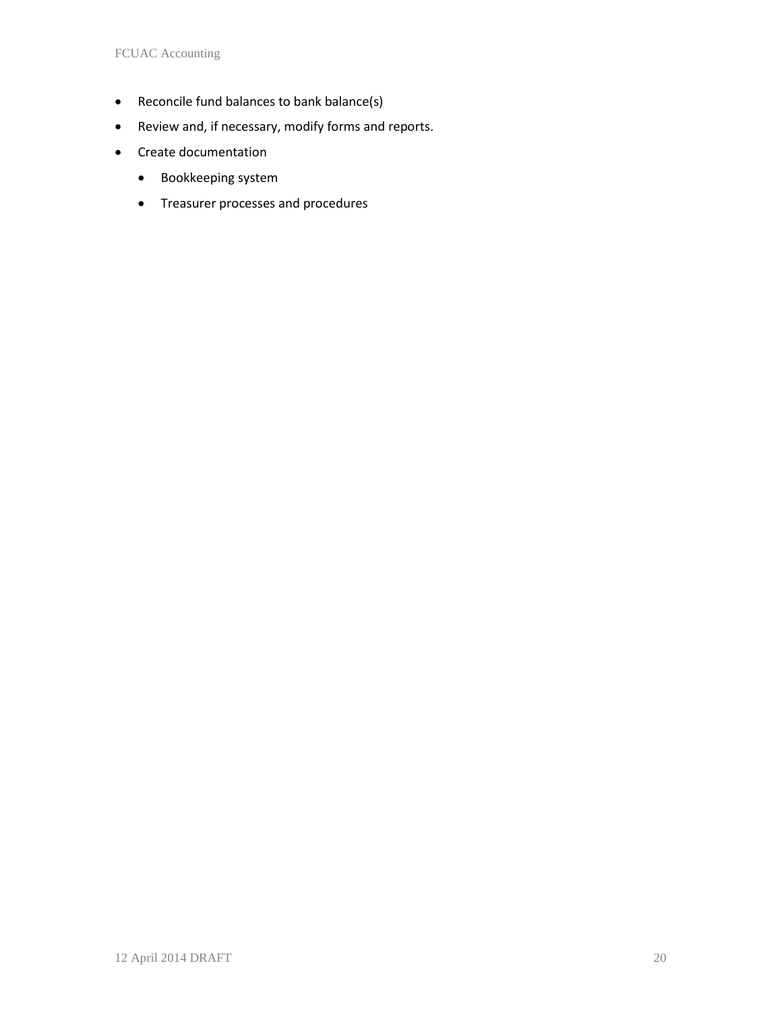- Reconcile fund balances to bank balance(s)
- Review and, if necessary, modify forms and reports.
- Create documentation
	- Bookkeeping system
	- Treasurer processes and procedures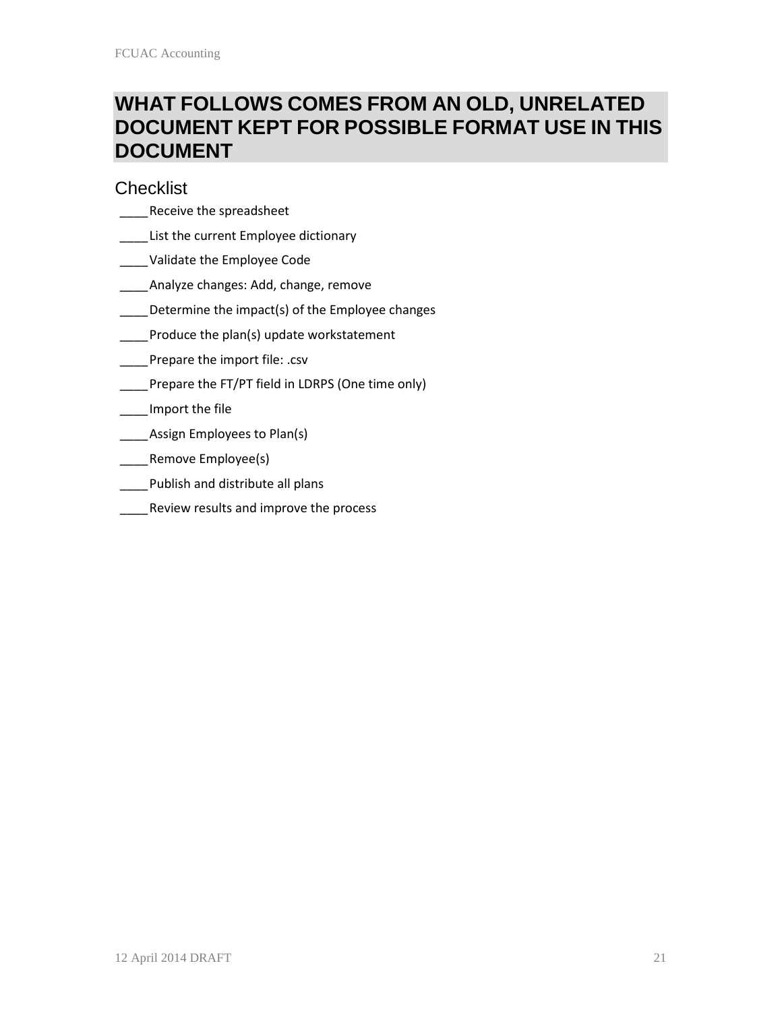# **WHAT FOLLOWS COMES FROM AN OLD, UNRELATED DOCUMENT KEPT FOR POSSIBLE FORMAT USE IN THIS DOCUMENT**

#### **Checklist**

- \_\_\_\_Receive the spreadsheet
- **\_\_\_\_ List the current Employee dictionary**
- \_\_\_\_Validate the Employee Code
- \_\_\_\_Analyze changes: Add, change, remove
- Determine the impact(s) of the Employee changes
- Produce the plan(s) update workstatement
- Prepare the import file: .csv
- \_\_\_\_Prepare the FT/PT field in LDRPS (One time only)

#### \_\_\_\_Import the file

- \_\_\_\_\_Assign Employees to Plan(s)
- \_\_\_\_Remove Employee(s)
- \_\_\_\_Publish and distribute all plans
- **\_\_\_\_\_Review results and improve the process**